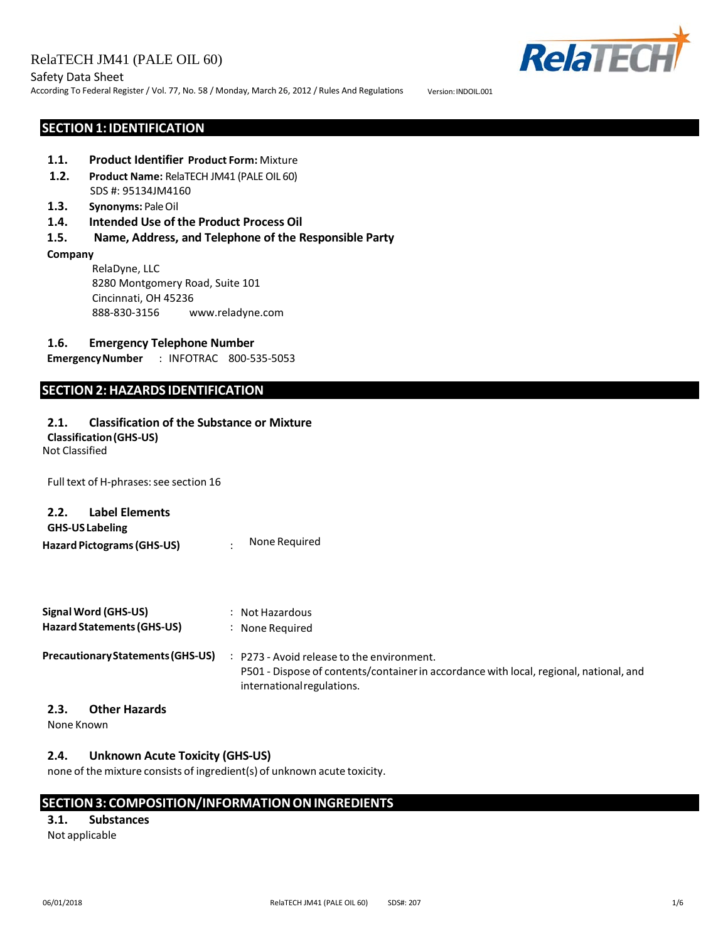## Safety Data Sheet

According To Federal Register / Vol. 77, No. 58 / Monday, March 26, 2012 / Rules And Regulations version: INDOIL.001

**RelaTECH** 

## **SECTION1: IDENTIFICATION**

- **1.1. Product Identifier Product Form:** Mixture
- **1.2. Product Name:** RelaTECH JM41 (PALE OIL 60) SDS #: 95134JM4160
- **1.3. Synonyms:** PaleOil
- **1.4. Intended Use of the Product Process Oil**
- **1.5. Name, Address, and Telephone of the Responsible Party**

#### **Company**

RelaDyne, LLC 8280 Montgomery Road, Suite 101 Cincinnati, OH 45236 888-830-3156 www.reladyne.com

#### **1.6. Emergency Telephone Number**

**EmergencyNumber** : INFOTRAC 800-535-5053

# **SECTION2: HAZARDS IDENTIFICATION**

#### **2.1. Classification of the Substance or Mixture**

**Classification(GHS-US)**

Not Classified

Full text of H-phrases: see section 16

## **2.2. Label Elements**

| <b>GHS-US Labeling</b>            |               |
|-----------------------------------|---------------|
| <b>Hazard Pictograms (GHS-US)</b> | None Required |

| Signal Word (GHS-US)              | Not Hazardous                                                                                                                                                    |
|-----------------------------------|------------------------------------------------------------------------------------------------------------------------------------------------------------------|
| Hazard Statements (GHS-US)        | None Required                                                                                                                                                    |
| Precautionary Statements (GHS-US) | P273 - Avoid release to the environment.<br>P501 - Dispose of contents/container in accordance with local, regional, national, and<br>international regulations. |

#### **2.3. Other Hazards**

None Known

#### **2.4. Unknown Acute Toxicity (GHS-US)**

none of the mixture consists of ingredient(s) of unknown acute toxicity.

# **SECTION3: COMPOSITION/INFORMATIONONINGREDIENTS**

#### **3.1. Substances**

Not applicable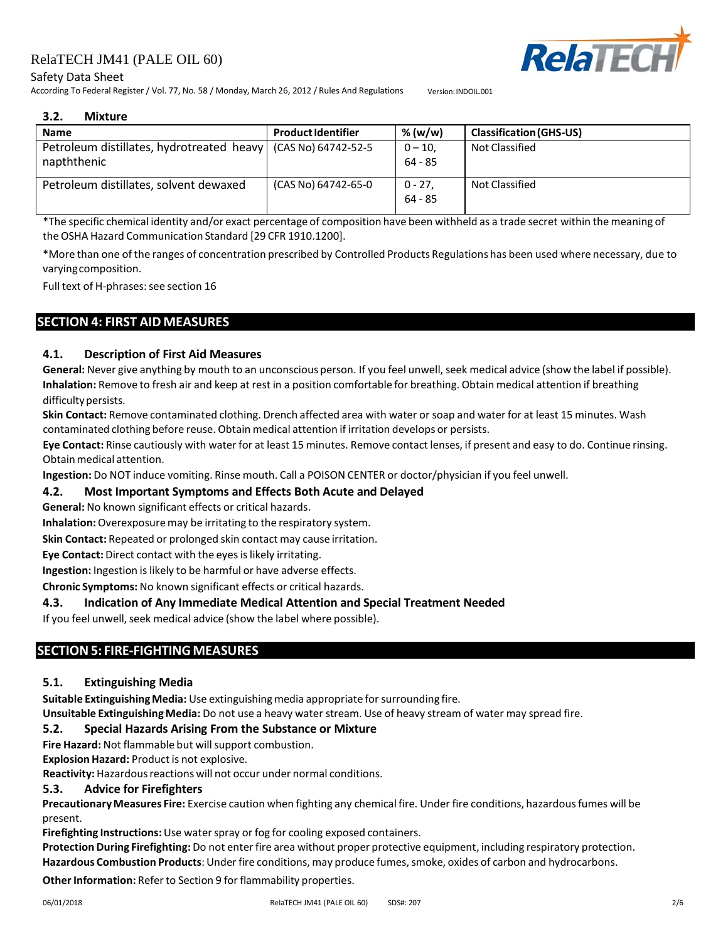#### Safety Data Sheet

According To Federal Register / Vol. 77, No. 58 / Monday, March 26, 2012 / Rules And Regulations version: INDOIL.001



#### **3.2. Mixture**

| <b>Name</b>                                                                    | <b>Product Identifier</b> | % (w/w)              | <b>Classification (GHS-US)</b> |
|--------------------------------------------------------------------------------|---------------------------|----------------------|--------------------------------|
| Petroleum distillates, hydrotreated heavy   (CAS No) 64742-52-5<br>napththenic |                           | $0 - 10$<br>64 - 85  | <b>Not Classified</b>          |
| Petroleum distillates, solvent dewaxed                                         | (CAS No) 64742-65-0       | $0 - 27.$<br>64 - 85 | <b>Not Classified</b>          |

\*The specific chemical identity and/or exact percentage of composition have been withheld as a trade secret within the meaning of theOSHA Hazard Communication Standard [29 CFR 1910.1200].

\*More than one of the ranges of concentration prescribed by Controlled Products Regulations has been used where necessary, due to varyingcomposition.

Full text of H-phrases: see section 16

# **SECTION 4: FIRST AID MEASURES**

## **4.1. Description of First Aid Measures**

**General:** Never give anything by mouth to an unconscious person. If you feel unwell, seek medical advice (show the label if possible). **Inhalation:** Remove to fresh air and keep at rest in a position comfortable for breathing. Obtain medical attention if breathing difficulty persists.

**Skin Contact:** Remove contaminated clothing. Drench affected area with water or soap and waterfor at least 15 minutes. Wash contaminated clothing before reuse. Obtain medical attention if irritation develops or persists.

**Eye Contact:** Rinse cautiously with water for at least 15 minutes. Remove contact lenses, if present and easy to do. Continue rinsing. Obtain medical attention.

**Ingestion:** Do NOT induce vomiting. Rinse mouth. Call a POISON CENTER or doctor/physician if you feel unwell.

# **4.2. Most Important Symptoms and Effects Both Acute and Delayed**

**General:** No known significant effects or critical hazards.

**Inhalation:**Overexposuremay be irritating to the respiratory system.

**Skin Contact:** Repeated or prolonged skin contact may cause irritation.

**Eye Contact:** Direct contact with the eyesislikely irritating.

**Ingestion:** Ingestion is likely to be harmful or have adverse effects.

**Chronic Symptoms:** No known significant effects or critical hazards.

#### **4.3. Indication of Any Immediate Medical Attention and Special Treatment Needed**

If you feel unwell, seek medical advice (show the label where possible).

# **SECTION5: FIRE-FIGHTINGMEASURES**

# **5.1. Extinguishing Media**

**Suitable ExtinguishingMedia:** Use extinguishingmedia appropriate forsurrounding fire.

**Unsuitable ExtinguishingMedia:** Do not use a heavy water stream. Use of heavy stream of water may spread fire.

#### **5.2. Special Hazards Arising From the Substance or Mixture**

Fire Hazard: Not flammable but will support combustion.

**Explosion Hazard:** Product is not explosive.

Reactivity: Hazardous reactions will not occur under normal conditions.

# **5.3. Advice for Firefighters**

**PrecautionaryMeasures Fire:** Exercise caution when fighting any chemical fire. Under fire conditions, hazardousfumes will be present.

**Firefighting Instructions:**Use waterspray or fog for cooling exposed containers.

**Protection During Firefighting:** Do not enterfire area without proper protective equipment, including respiratory protection. Hazardous Combustion Products: Under fire conditions, may produce fumes, smoke, oxides of carbon and hydrocarbons.

**Other Information:** Refer to Section 9 for flammability properties.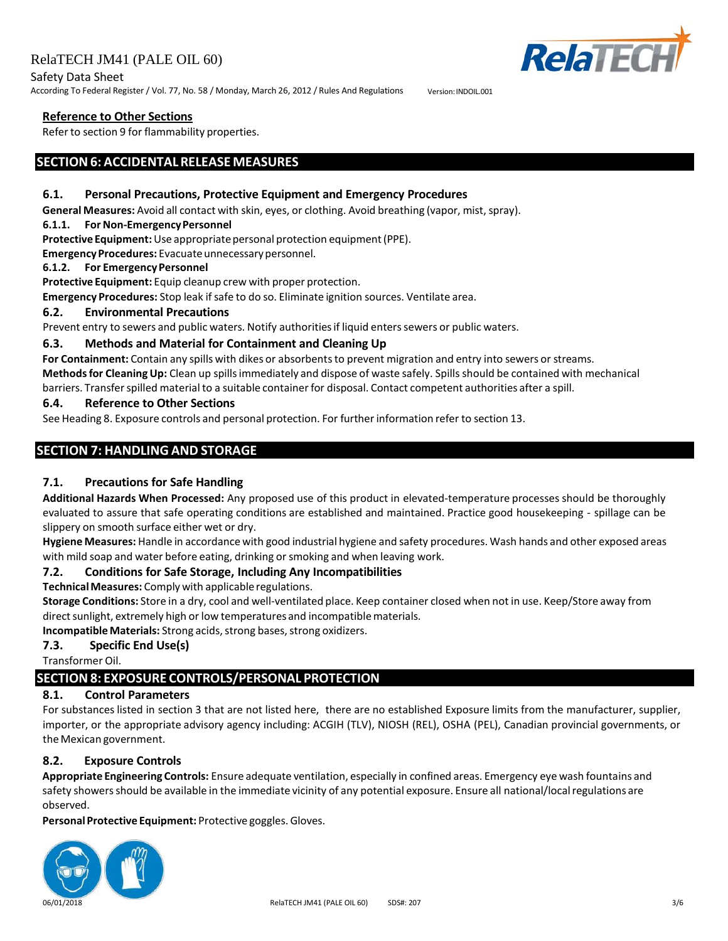# **RelaTEG**

According To Federal Register / Vol. 77, No. 58 / Monday, March 26, 2012 / Rules And Regulations version: INDOIL.001

#### **Reference to Other Sections**

Safety Data Sheet

Refer to section 9 for flammability properties.

# **SECTION6: ACCIDENTALRELEASE MEASURES**

#### **6.1. Personal Precautions, Protective Equipment and Emergency Procedures**

**General Measures:** Avoid all contact with skin, eyes, or clothing. Avoid breathing (vapor, mist, spray).

#### **6.1.1.** For Non-Emergency Personnel

**Protective Equipment:** Use appropriate personal protection equipment (PPE).

**Emergency Procedures:** Evacuate unnecessary personnel.

#### **6.1.2. For EmergencyPersonnel**

**Protective Equipment:** Equip cleanup crew with proper protection.

**Emergency Procedures:** Stop leak if safe to do so. Eliminate ignition sources. Ventilate area.

#### **6.2. Environmental Precautions**

Prevent entry to sewers and public waters. Notify authorities if liquid enters sewers or public waters.

#### **6.3. Methods and Material for Containment and Cleaning Up**

**For Containment:** Contain any spills with dikes or absorbentsto prevent migration and entry into sewers or streams. **Methodsfor Cleaning Up:** Clean up spillsimmediately and dispose of waste safely. Spills should be contained with mechanical barriers. Transfer spilled material to a suitable container for disposal. Contact competent authorities after a spill.

#### **6.4. Reference to Other Sections**

See Heading 8. Exposure controls and personal protection. For furtherinformation refer to section 13.

# **SECTION 7: HANDLING AND STORAGE**

#### **7.1. Precautions for Safe Handling**

**Additional Hazards When Processed:** Any proposed use of this product in elevated-temperature processes should be thoroughly evaluated to assure that safe operating conditions are established and maintained. Practice good housekeeping - spillage can be slippery on smooth surface either wet or dry.

**Hygiene Measures:** Handle in accordance with good industrial hygiene and safety procedures. Wash hands and other exposed areas with mild soap and water before eating, drinking or smoking and when leaving work.

#### **7.2. Conditions for Safe Storage, Including Any Incompatibilities**

**TechnicalMeasures:** Comply with applicable regulations.

**Storage Conditions:** Store in a dry, cool and well-ventilated place. Keep container closed when not in use. Keep/Store away from direct sunlight, extremely high or low temperatures and incompatible materials.

**Incompatible Materials:** Strong acids, strong bases, strong oxidizers.

#### **7.3. Specific End Use(s)**

Transformer Oil.

# **SECTION8: EXPOSURE CONTROLS/PERSONAL PROTECTION**

#### **8.1. Control Parameters**

For substances listed in section 3 that are not listed here, there are no established Exposure limits from the manufacturer, supplier, importer, or the appropriate advisory agency including: ACGIH (TLV), NIOSH (REL), OSHA (PEL), Canadian provincial governments, or the Mexican government.

#### **8.2. Exposure Controls**

**Appropriate Engineering Controls:** Ensure adequate ventilation, especially in confined areas. Emergency eye wash fountains and safety showers should be available in the immediate vicinity of any potential exposure. Ensure all national/local regulations are observed.

**Personal Protective Equipment: Protective goggles. Gloves.** 

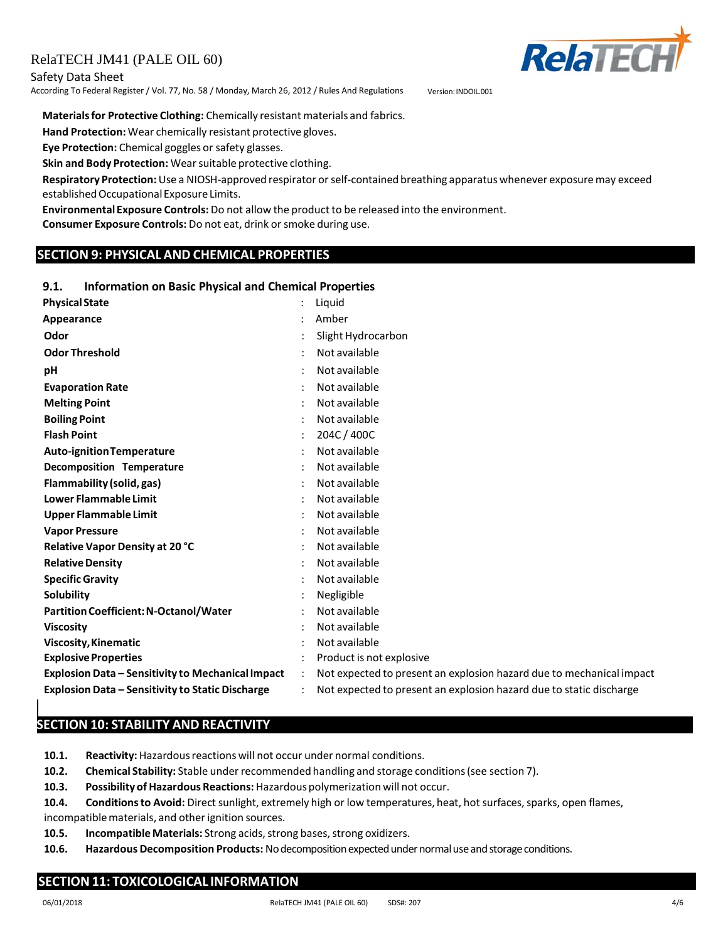Safety Data Sheet According To Federal Register / Vol. 77, No. 58 / Monday, March 26, 2012 / Rules And Regulations version: INDOIL.001

**Materialsfor Protective Clothing:** Chemically resistant materials and fabrics.

**Hand Protection:** Wear chemically resistant protective gloves.

**Eye Protection:** Chemical goggles or safety glasses.

**Skin and Body Protection:** Wearsuitable protective clothing.

**Respiratory Protection:**Use a NIOSH-approved respirator orself-contained breathing apparatus whenever exposuremay exceed established Occupational Exposure Limits.

**Environmental Exposure Controls:** Do not allow the product to be released into the environment. **Consumer Exposure Controls:** Do not eat, drink or smoke during use.

# **SECTION 9: PHYSICAL AND CHEMICAL PROPERTIES**

#### **9.1. Information on Basic Physical and Chemical Properties**

| <b>Physical State</b>                                   | Liquid                                                               |
|---------------------------------------------------------|----------------------------------------------------------------------|
| Appearance                                              | Amber                                                                |
| Odor                                                    | Slight Hydrocarbon                                                   |
| <b>Odor Threshold</b>                                   | Not available                                                        |
| рH                                                      | Not available                                                        |
| <b>Evaporation Rate</b>                                 | Not available                                                        |
| <b>Melting Point</b>                                    | Not available                                                        |
| <b>Boiling Point</b>                                    | Not available                                                        |
| <b>Flash Point</b>                                      | 204C/400C                                                            |
| <b>Auto-ignition Temperature</b>                        | Not available                                                        |
| Decomposition Temperature                               | Not available                                                        |
| Flammability (solid, gas)                               | Not available                                                        |
| <b>Lower Flammable Limit</b>                            | Not available                                                        |
| <b>Upper Flammable Limit</b>                            | Not available                                                        |
| <b>Vapor Pressure</b>                                   | Not available                                                        |
| Relative Vapor Density at 20 °C                         | Not available                                                        |
| <b>Relative Density</b>                                 | Not available                                                        |
| <b>Specific Gravity</b>                                 | Not available                                                        |
| Solubility                                              | Negligible                                                           |
| <b>Partition Coefficient: N-Octanol/Water</b>           | Not available                                                        |
| <b>Viscosity</b>                                        | Not available                                                        |
| <b>Viscosity, Kinematic</b>                             | Not available                                                        |
| <b>Explosive Properties</b>                             | Product is not explosive                                             |
| Explosion Data - Sensitivity to Mechanical Impact       | Not expected to present an explosion hazard due to mechanical impact |
| <b>Explosion Data - Sensitivity to Static Discharge</b> | Not expected to present an explosion hazard due to static discharge  |

# **SECTION 10: STABILITY AND REACTIVITY**

**10.1. Reactivity:** Hazardous reactions will not occur under normal conditions.

**10.2. Chemical Stability:** Stable under recommended handling and storage conditions(see section 7).

**10.3. Possibility of Hazardous Reactions:** Hazardouspolymerization will not occur.

10.4. Conditions to Avoid: Direct sunlight, extremely high or low temperatures, heat, hot surfaces, sparks, open flames,

incompatible materials, and other ignition sources.

**10.5. Incompatible Materials:** Strong acids, strong bases, strong oxidizers.

10.6. **Hazardous Decomposition Products:** No decomposition expected under normal use and storage conditions.

# **SECTION11: TOXICOLOGICAL INFORMATION**

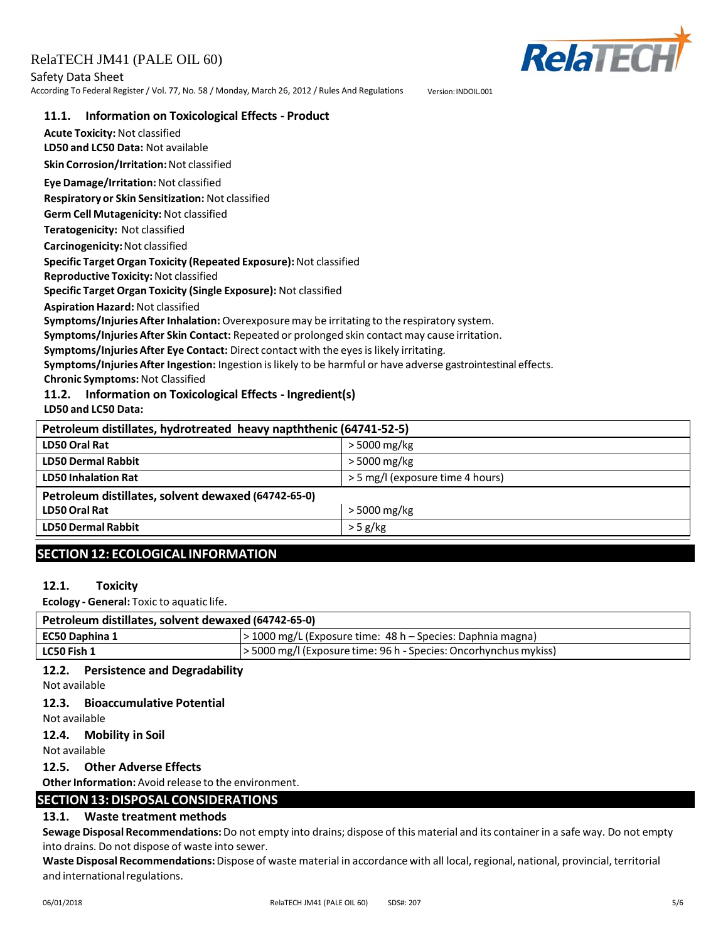Safety Data Sheet According To Federal Register / Vol. 77, No. 58 / Monday, March 26, 2012 / Rules And Regulations version: INDOIL.001 **RelaTECH** 

## **11.1. Information on Toxicological Effects - Product**

**Acute Toxicity:**Not classified **LD50 and LC50 Data:** Not available **Skin Corrosion/Irritation:**Not classified

**Eye Damage/Irritation:**Not classified

**Respiratory or Skin Sensitization:** Not classified

**Germ Cell Mutagenicity:**Not classified

**Teratogenicity:** Not classified

**Carcinogenicity:**Not classified

#### **Specific Target Organ Toxicity (Repeated Exposure):**Not classified

**Reproductive Toxicity:**Not classified

**Specific Target Organ Toxicity (Single Exposure):** Not classified

**Aspiration Hazard:** Not classified

**Symptoms/InjuriesAfter Inhalation:** Overexposuremay be irritating to the respiratory system.

**Symptoms/InjuriesAfter Skin Contact:** Repeated or prolonged skin contact may cause irritation.

**Symptoms/InjuriesAfter Eye Contact:** Direct contact with the eyesislikely irritating.

**Symptoms/InjuriesAfter Ingestion:** Ingestion islikely to be harmful or have adverse gastrointestinal effects.

**Chronic Symptoms:**Not Classified

**11.2. Information on Toxicological Effects - Ingredient(s)**

**LD50 and LC50 Data:**

| Petroleum distillates, hydrotreated heavy napththenic (64741-52-5) |                                  |  |
|--------------------------------------------------------------------|----------------------------------|--|
| LD50 Oral Rat                                                      | > 5000 mg/kg                     |  |
| <b>LD50 Dermal Rabbit</b>                                          | > 5000 mg/kg                     |  |
| <b>LD50 Inhalation Rat</b>                                         | > 5 mg/l (exposure time 4 hours) |  |
| Petroleum distillates, solvent dewaxed (64742-65-0)                |                                  |  |
| LD50 Oral Rat                                                      | > 5000 mg/kg                     |  |
| <b>LD50 Dermal Rabbit</b>                                          | $>$ 5 g/kg                       |  |

# **SECTION12: ECOLOGICAL INFORMATION**

#### **12.1. Toxicity**

**Ecology - General:** Toxic to aquatic life.

| Petroleum distillates, solvent dewaxed (64742-65-0) |                                                                |  |
|-----------------------------------------------------|----------------------------------------------------------------|--|
| <b>EC50 Daphina 1</b>                               | > 1000 mg/L (Exposure time: 48 h – Species: Daphnia magna)     |  |
| LC50 Fish 1                                         | S000 mg/l (Exposure time: 96 h - Species: Oncorhynchus mykiss) |  |

# **12.2. Persistence and Degradability**

Not available

**12.3. Bioaccumulative Potential**

Not available

**12.4. Mobility in Soil**

Not available

#### **12.5. Other Adverse Effects**

**Other Information:** Avoid release to the environment

# **SECTION13:DISPOSAL CONSIDERATIONS**

# **13.1. Waste treatment methods**

**Sewage Disposal Recommendations:**Do not empty into drains; dispose of this material and its containerin a safe way. Do not empty into drains. Do not dispose of waste into sewer.

**Waste Disposal Recommendations:**Dispose of waste material in accordance with all local,regional, national, provincial, territorial and international regulations.